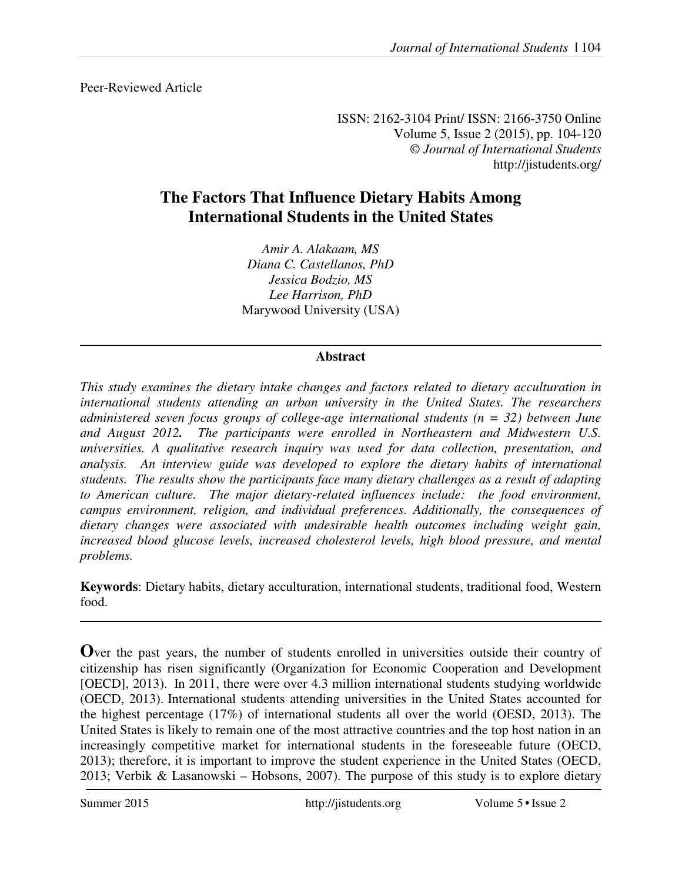Peer-Reviewed Article

ISSN: 2162-3104 Print/ ISSN: 2166-3750 Online Volume 5, Issue 2 (2015), pp. 104-120 © *Journal of International Students* http://jistudents.org/

## **The Factors That Influence Dietary Habits Among International Students in the United States**

*Amir A. Alakaam, MS Diana C. Castellanos, PhD Jessica Bodzio, MS Lee Harrison, PhD*  Marywood University (USA)

## **Abstract**

*This study examines the dietary intake changes and factors related to dietary acculturation in international students attending an urban university in the United States. The researchers administered seven focus groups of college-age international students (n = 32) between June and August 2012. The participants were enrolled in Northeastern and Midwestern U.S. universities. A qualitative research inquiry was used for data collection, presentation, and analysis. An interview guide was developed to explore the dietary habits of international students. The results show the participants face many dietary challenges as a result of adapting to American culture. The major dietary-related influences include: the food environment, campus environment, religion, and individual preferences. Additionally, the consequences of dietary changes were associated with undesirable health outcomes including weight gain, increased blood glucose levels, increased cholesterol levels, high blood pressure, and mental problems.* 

**Keywords**: Dietary habits, dietary acculturation, international students, traditional food, Western food.

**O**ver the past years, the number of students enrolled in universities outside their country of citizenship has risen significantly (Organization for Economic Cooperation and Development [OECD], 2013). In 2011, there were over 4.3 million international students studying worldwide (OECD, 2013). International students attending universities in the United States accounted for the highest percentage (17%) of international students all over the world (OESD, 2013). The United States is likely to remain one of the most attractive countries and the top host nation in an increasingly competitive market for international students in the foreseeable future (OECD, 2013); therefore, it is important to improve the student experience in the United States (OECD, 2013; Verbik & Lasanowski – Hobsons, 2007). The purpose of this study is to explore dietary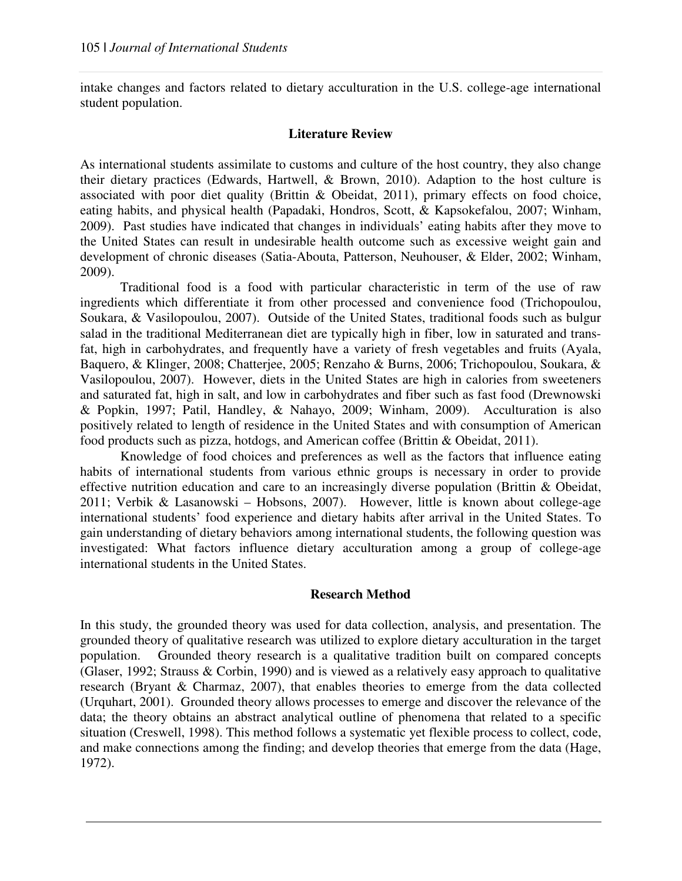intake changes and factors related to dietary acculturation in the U.S. college-age international student population.

### **Literature Review**

As international students assimilate to customs and culture of the host country, they also change their dietary practices (Edwards, Hartwell, & Brown, 2010). Adaption to the host culture is associated with poor diet quality (Brittin & Obeidat, 2011), primary effects on food choice, eating habits, and physical health (Papadaki, Hondros, Scott, & Kapsokefalou, 2007; Winham, 2009). Past studies have indicated that changes in individuals' eating habits after they move to the United States can result in undesirable health outcome such as excessive weight gain and development of chronic diseases (Satia-Abouta, Patterson, Neuhouser, & Elder, 2002; Winham, 2009).

Traditional food is a food with particular characteristic in term of the use of raw ingredients which differentiate it from other processed and convenience food (Trichopoulou, Soukara, & Vasilopoulou, 2007). Outside of the United States, traditional foods such as bulgur salad in the traditional Mediterranean diet are typically high in fiber, low in saturated and transfat, high in carbohydrates, and frequently have a variety of fresh vegetables and fruits (Ayala, Baquero, & Klinger, 2008; Chatterjee, 2005; Renzaho & Burns, 2006; Trichopoulou, Soukara, & Vasilopoulou, 2007). However, diets in the United States are high in calories from sweeteners and saturated fat, high in salt, and low in carbohydrates and fiber such as fast food (Drewnowski & Popkin, 1997; Patil, Handley, & Nahayo, 2009; Winham, 2009). Acculturation is also positively related to length of residence in the United States and with consumption of American food products such as pizza, hotdogs, and American coffee (Brittin & Obeidat, 2011).

Knowledge of food choices and preferences as well as the factors that influence eating habits of international students from various ethnic groups is necessary in order to provide effective nutrition education and care to an increasingly diverse population (Brittin & Obeidat, 2011; Verbik & Lasanowski – Hobsons, 2007). However, little is known about college-age international students' food experience and dietary habits after arrival in the United States. To gain understanding of dietary behaviors among international students, the following question was investigated: What factors influence dietary acculturation among a group of college-age international students in the United States.

### **Research Method**

In this study, the grounded theory was used for data collection, analysis, and presentation. The grounded theory of qualitative research was utilized to explore dietary acculturation in the target population. Grounded theory research is a qualitative tradition built on compared concepts (Glaser, 1992; Strauss & Corbin, 1990) and is viewed as a relatively easy approach to qualitative research (Bryant & Charmaz, 2007), that enables theories to emerge from the data collected (Urquhart, 2001). Grounded theory allows processes to emerge and discover the relevance of the data; the theory obtains an abstract analytical outline of phenomena that related to a specific situation (Creswell, 1998). This method follows a systematic yet flexible process to collect, code, and make connections among the finding; and develop theories that emerge from the data (Hage, 1972).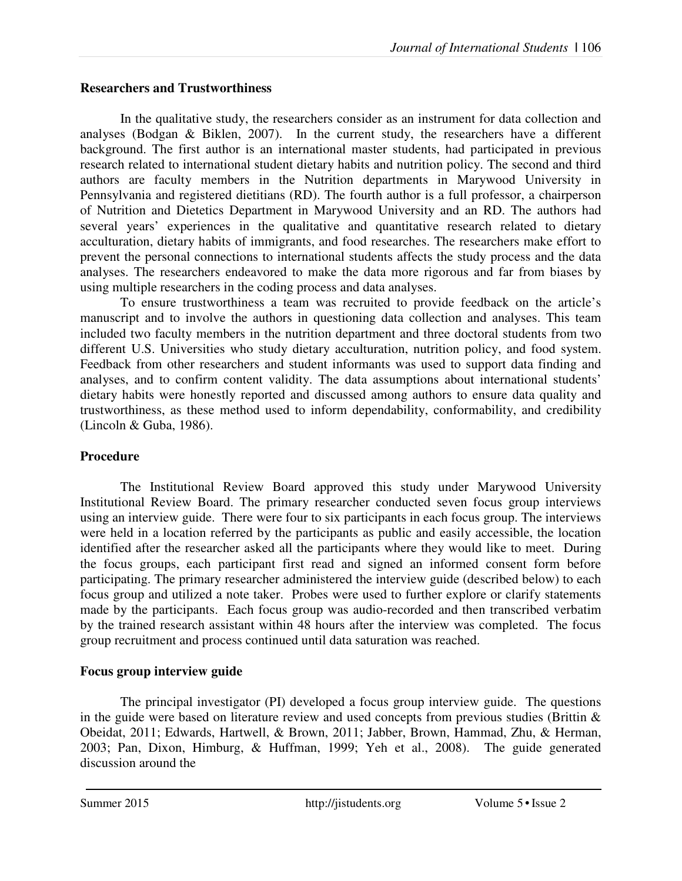## **Researchers and Trustworthiness**

In the qualitative study, the researchers consider as an instrument for data collection and analyses (Bodgan & Biklen, 2007). In the current study, the researchers have a different background. The first author is an international master students, had participated in previous research related to international student dietary habits and nutrition policy. The second and third authors are faculty members in the Nutrition departments in Marywood University in Pennsylvania and registered dietitians (RD). The fourth author is a full professor, a chairperson of Nutrition and Dietetics Department in Marywood University and an RD. The authors had several years' experiences in the qualitative and quantitative research related to dietary acculturation, dietary habits of immigrants, and food researches. The researchers make effort to prevent the personal connections to international students affects the study process and the data analyses. The researchers endeavored to make the data more rigorous and far from biases by using multiple researchers in the coding process and data analyses.

To ensure trustworthiness a team was recruited to provide feedback on the article's manuscript and to involve the authors in questioning data collection and analyses. This team included two faculty members in the nutrition department and three doctoral students from two different U.S. Universities who study dietary acculturation, nutrition policy, and food system. Feedback from other researchers and student informants was used to support data finding and analyses, and to confirm content validity. The data assumptions about international students' dietary habits were honestly reported and discussed among authors to ensure data quality and trustworthiness, as these method used to inform dependability, conformability, and credibility (Lincoln & Guba, 1986).

## **Procedure**

The Institutional Review Board approved this study under Marywood University Institutional Review Board. The primary researcher conducted seven focus group interviews using an interview guide. There were four to six participants in each focus group. The interviews were held in a location referred by the participants as public and easily accessible, the location identified after the researcher asked all the participants where they would like to meet. During the focus groups, each participant first read and signed an informed consent form before participating. The primary researcher administered the interview guide (described below) to each focus group and utilized a note taker. Probes were used to further explore or clarify statements made by the participants. Each focus group was audio-recorded and then transcribed verbatim by the trained research assistant within 48 hours after the interview was completed. The focus group recruitment and process continued until data saturation was reached.

## **Focus group interview guide**

The principal investigator (PI) developed a focus group interview guide. The questions in the guide were based on literature review and used concepts from previous studies (Brittin  $\&$ Obeidat, 2011; Edwards, Hartwell, & Brown, 2011; Jabber, Brown, Hammad, Zhu, & Herman, 2003; Pan, Dixon, Himburg, & Huffman, 1999; Yeh et al., 2008). The guide generated discussion around the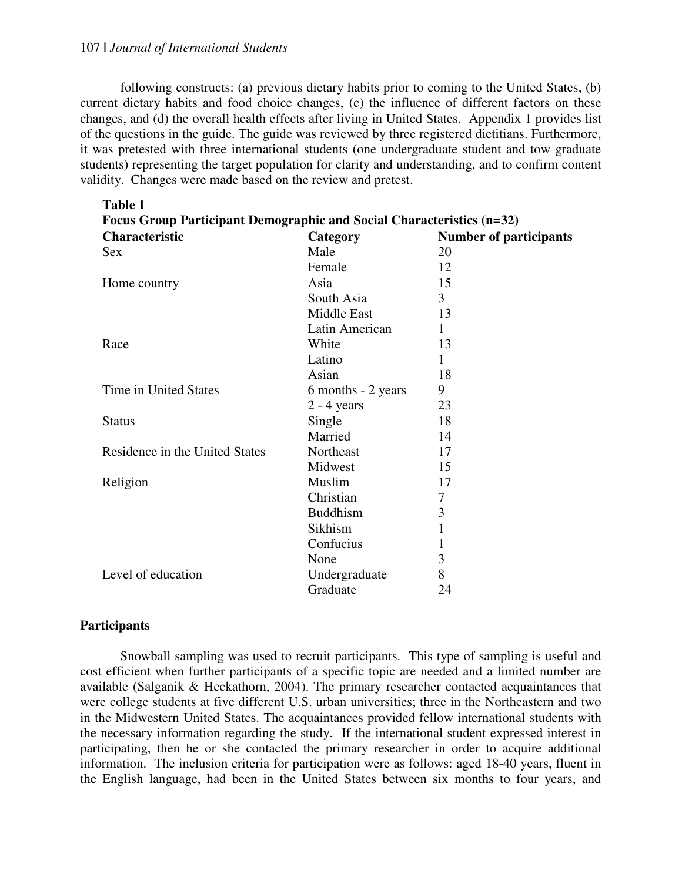following constructs: (a) previous dietary habits prior to coming to the United States, (b) current dietary habits and food choice changes, (c) the influence of different factors on these changes, and (d) the overall health effects after living in United States. Appendix 1 provides list of the questions in the guide. The guide was reviewed by three registered dietitians. Furthermore, it was pretested with three international students (one undergraduate student and tow graduate students) representing the target population for clarity and understanding, and to confirm content validity. Changes were made based on the review and pretest.

| <b>Focus Group Participant Demographic and Social Characteristics (n=32)</b> |                    |                               |  |  |
|------------------------------------------------------------------------------|--------------------|-------------------------------|--|--|
| Characteristic                                                               | Category           | <b>Number of participants</b> |  |  |
| Sex                                                                          | Male               | 20                            |  |  |
|                                                                              | Female             | 12                            |  |  |
| Home country                                                                 | Asia               | 15                            |  |  |
|                                                                              | South Asia         | 3                             |  |  |
|                                                                              | Middle East        | 13                            |  |  |
|                                                                              | Latin American     | $\mathbf{1}$                  |  |  |
| Race                                                                         | White              | 13                            |  |  |
|                                                                              | Latino             | 1                             |  |  |
|                                                                              | Asian              | 18                            |  |  |
| Time in United States                                                        | 6 months - 2 years | 9                             |  |  |
|                                                                              | $2 - 4$ years      | 23                            |  |  |
| <b>Status</b>                                                                | Single             | 18                            |  |  |
|                                                                              | Married            | 14                            |  |  |
| Residence in the United States                                               | Northeast          | 17                            |  |  |
|                                                                              | Midwest            | 15                            |  |  |
| Religion                                                                     | Muslim             | 17                            |  |  |
|                                                                              | Christian          | 7                             |  |  |
|                                                                              | <b>Buddhism</b>    | 3                             |  |  |
|                                                                              | Sikhism            | 1                             |  |  |
|                                                                              | Confucius          | 1                             |  |  |
|                                                                              | None               | 3                             |  |  |
| Level of education                                                           | Undergraduate      | 8                             |  |  |
|                                                                              | Graduate           | 24                            |  |  |

# **Table 1**

### **Participants**

Snowball sampling was used to recruit participants. This type of sampling is useful and cost efficient when further participants of a specific topic are needed and a limited number are available (Salganik & Heckathorn, 2004). The primary researcher contacted acquaintances that were college students at five different U.S. urban universities; three in the Northeastern and two in the Midwestern United States. The acquaintances provided fellow international students with the necessary information regarding the study. If the international student expressed interest in participating, then he or she contacted the primary researcher in order to acquire additional information. The inclusion criteria for participation were as follows: aged 18-40 years, fluent in the English language, had been in the United States between six months to four years, and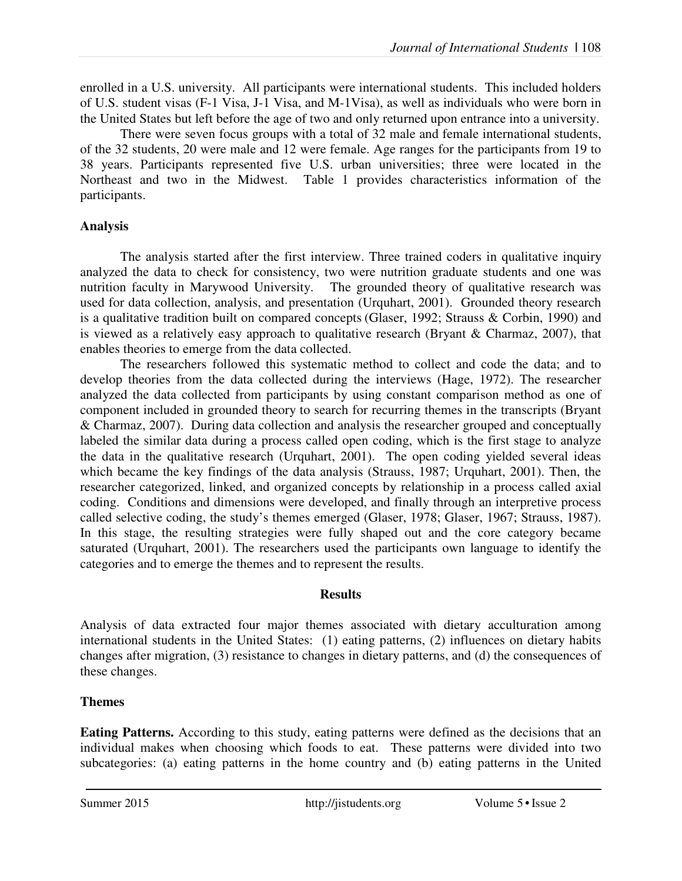enrolled in a U.S. university. All participants were international students. This included holders of U.S. student visas (F-1 Visa, J-1 Visa, and M-1Visa), as well as individuals who were born in the United States but left before the age of two and only returned upon entrance into a university.

There were seven focus groups with a total of 32 male and female international students, of the 32 students, 20 were male and 12 were female. Age ranges for the participants from 19 to 38 years. Participants represented five U.S. urban universities; three were located in the Northeast and two in the Midwest. Table 1 provides characteristics information of the participants.

## **Analysis**

The analysis started after the first interview. Three trained coders in qualitative inquiry analyzed the data to check for consistency, two were nutrition graduate students and one was nutrition faculty in Marywood University. The grounded theory of qualitative research was used for data collection, analysis, and presentation (Urquhart, 2001). Grounded theory research is a qualitative tradition built on compared concepts (Glaser, 1992; Strauss & Corbin, 1990) and is viewed as a relatively easy approach to qualitative research (Bryant & Charmaz,  $2007$ ), that enables theories to emerge from the data collected.

The researchers followed this systematic method to collect and code the data; and to develop theories from the data collected during the interviews (Hage, 1972). The researcher analyzed the data collected from participants by using constant comparison method as one of component included in grounded theory to search for recurring themes in the transcripts (Bryant & Charmaz, 2007). During data collection and analysis the researcher grouped and conceptually labeled the similar data during a process called open coding, which is the first stage to analyze the data in the qualitative research (Urquhart, 2001). The open coding yielded several ideas which became the key findings of the data analysis (Strauss, 1987; Urquhart, 2001). Then, the researcher categorized, linked, and organized concepts by relationship in a process called axial coding. Conditions and dimensions were developed, and finally through an interpretive process called selective coding, the study's themes emerged (Glaser, 1978; Glaser, 1967; Strauss, 1987). In this stage, the resulting strategies were fully shaped out and the core category became saturated (Urquhart, 2001). The researchers used the participants own language to identify the categories and to emerge the themes and to represent the results.

## **Results**

Analysis of data extracted four major themes associated with dietary acculturation among international students in the United States: (1) eating patterns, (2) influences on dietary habits changes after migration, (3) resistance to changes in dietary patterns, and (d) the consequences of these changes.

## **Themes**

**Eating Patterns.** According to this study, eating patterns were defined as the decisions that an individual makes when choosing which foods to eat. These patterns were divided into two subcategories: (a) eating patterns in the home country and (b) eating patterns in the United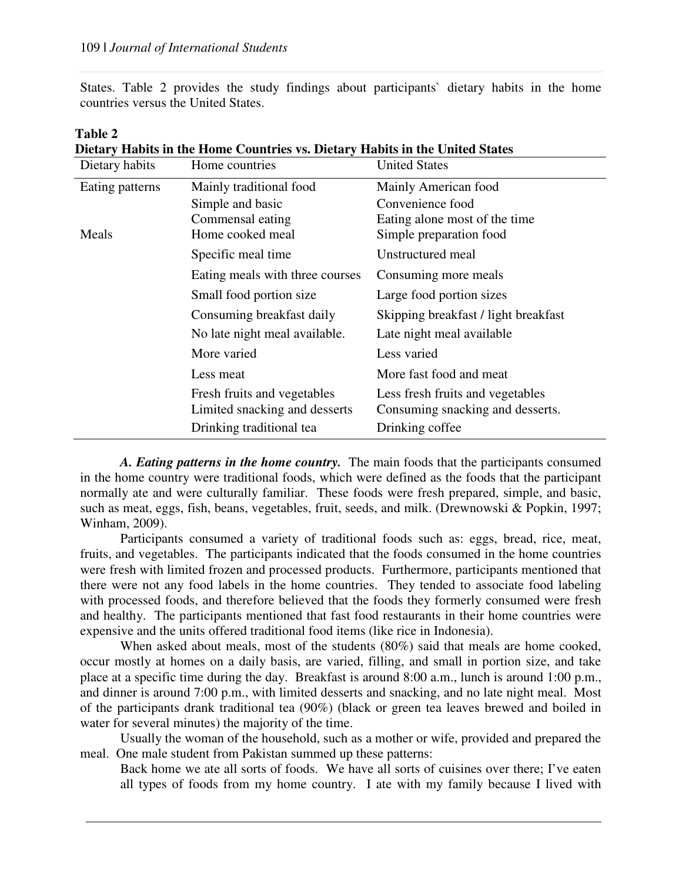States. Table 2 provides the study findings about participants` dietary habits in the home countries versus the United States.

| Dietary habits  | Home countries                                               | <b>United States</b>                                                 |
|-----------------|--------------------------------------------------------------|----------------------------------------------------------------------|
| Eating patterns | Mainly traditional food                                      | Mainly American food                                                 |
|                 | Simple and basic                                             | Convenience food                                                     |
|                 | Commensal eating                                             | Eating alone most of the time                                        |
| Meals           | Home cooked meal                                             | Simple preparation food                                              |
|                 | Specific meal time                                           | Unstructured meal                                                    |
|                 | Eating meals with three courses                              | Consuming more meals                                                 |
|                 | Small food portion size                                      | Large food portion sizes                                             |
|                 | Consuming breakfast daily                                    | Skipping breakfast / light breakfast                                 |
|                 | No late night meal available.                                | Late night meal available                                            |
|                 | More varied                                                  | Less varied                                                          |
|                 | Less meat                                                    | More fast food and meat                                              |
|                 | Fresh fruits and vegetables<br>Limited snacking and desserts | Less fresh fruits and vegetables<br>Consuming snacking and desserts. |
|                 | Drinking traditional tea                                     | Drinking coffee                                                      |

| <b>Table 2</b> |                                                                              |  |
|----------------|------------------------------------------------------------------------------|--|
|                | Dietary Habits in the Home Countries vs. Dietary Habits in the United States |  |

*A. Eating patterns in the home country.* The main foods that the participants consumed in the home country were traditional foods, which were defined as the foods that the participant normally ate and were culturally familiar. These foods were fresh prepared, simple, and basic, such as meat, eggs, fish, beans, vegetables, fruit, seeds, and milk. (Drewnowski & Popkin, 1997; Winham, 2009).

Participants consumed a variety of traditional foods such as: eggs, bread, rice, meat, fruits, and vegetables. The participants indicated that the foods consumed in the home countries were fresh with limited frozen and processed products. Furthermore, participants mentioned that there were not any food labels in the home countries. They tended to associate food labeling with processed foods, and therefore believed that the foods they formerly consumed were fresh and healthy. The participants mentioned that fast food restaurants in their home countries were expensive and the units offered traditional food items (like rice in Indonesia).

When asked about meals, most of the students (80%) said that meals are home cooked, occur mostly at homes on a daily basis, are varied, filling, and small in portion size, and take place at a specific time during the day. Breakfast is around 8:00 a.m., lunch is around 1:00 p.m., and dinner is around 7:00 p.m., with limited desserts and snacking, and no late night meal. Most of the participants drank traditional tea (90%) (black or green tea leaves brewed and boiled in water for several minutes) the majority of the time.

Usually the woman of the household, such as a mother or wife, provided and prepared the meal. One male student from Pakistan summed up these patterns:

Back home we ate all sorts of foods. We have all sorts of cuisines over there; I've eaten all types of foods from my home country. I ate with my family because I lived with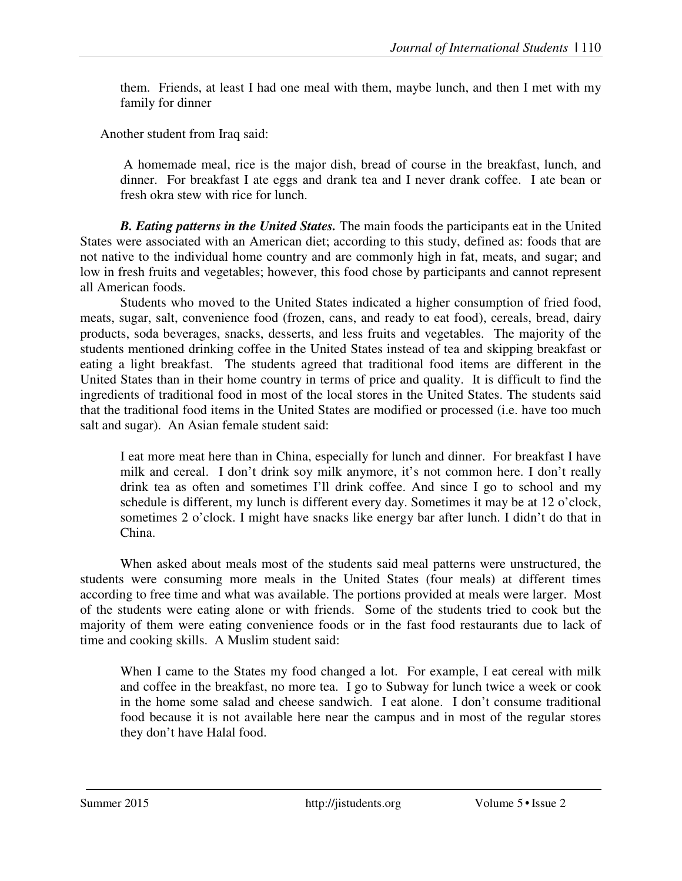them. Friends, at least I had one meal with them, maybe lunch, and then I met with my family for dinner

Another student from Iraq said:

 A homemade meal, rice is the major dish, bread of course in the breakfast, lunch, and dinner. For breakfast I ate eggs and drank tea and I never drank coffee. I ate bean or fresh okra stew with rice for lunch.

*B. Eating patterns in the United States.* The main foods the participants eat in the United States were associated with an American diet; according to this study, defined as: foods that are not native to the individual home country and are commonly high in fat, meats, and sugar; and low in fresh fruits and vegetables; however, this food chose by participants and cannot represent all American foods.

Students who moved to the United States indicated a higher consumption of fried food, meats, sugar, salt, convenience food (frozen, cans, and ready to eat food), cereals, bread, dairy products, soda beverages, snacks, desserts, and less fruits and vegetables. The majority of the students mentioned drinking coffee in the United States instead of tea and skipping breakfast or eating a light breakfast. The students agreed that traditional food items are different in the United States than in their home country in terms of price and quality. It is difficult to find the ingredients of traditional food in most of the local stores in the United States. The students said that the traditional food items in the United States are modified or processed (i.e. have too much salt and sugar). An Asian female student said:

I eat more meat here than in China, especially for lunch and dinner. For breakfast I have milk and cereal. I don't drink soy milk anymore, it's not common here. I don't really drink tea as often and sometimes I'll drink coffee. And since I go to school and my schedule is different, my lunch is different every day. Sometimes it may be at 12 o'clock, sometimes 2 o'clock. I might have snacks like energy bar after lunch. I didn't do that in China.

When asked about meals most of the students said meal patterns were unstructured, the students were consuming more meals in the United States (four meals) at different times according to free time and what was available. The portions provided at meals were larger. Most of the students were eating alone or with friends. Some of the students tried to cook but the majority of them were eating convenience foods or in the fast food restaurants due to lack of time and cooking skills. A Muslim student said:

When I came to the States my food changed a lot. For example, I eat cereal with milk and coffee in the breakfast, no more tea. I go to Subway for lunch twice a week or cook in the home some salad and cheese sandwich. I eat alone. I don't consume traditional food because it is not available here near the campus and in most of the regular stores they don't have Halal food.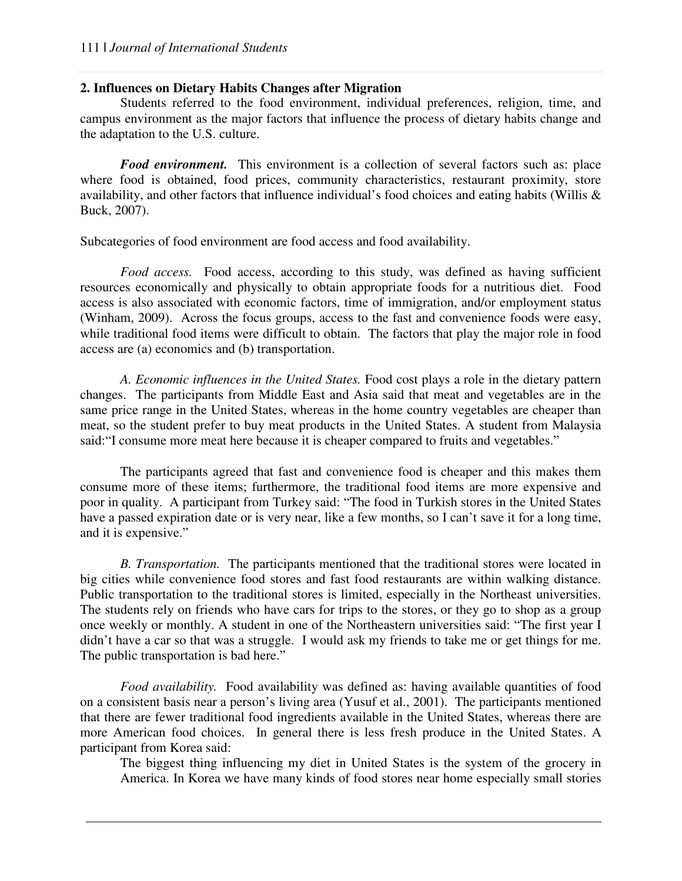### **2. Influences on Dietary Habits Changes after Migration**

Students referred to the food environment, individual preferences, religion, time, and campus environment as the major factors that influence the process of dietary habits change and the adaptation to the U.S. culture.

*Food environment.* This environment is a collection of several factors such as: place where food is obtained, food prices, community characteristics, restaurant proximity, store availability, and other factors that influence individual's food choices and eating habits (Willis & Buck, 2007).

Subcategories of food environment are food access and food availability.

*Food access.* Food access, according to this study, was defined as having sufficient resources economically and physically to obtain appropriate foods for a nutritious diet. Food access is also associated with economic factors, time of immigration, and/or employment status (Winham, 2009). Across the focus groups, access to the fast and convenience foods were easy, while traditional food items were difficult to obtain. The factors that play the major role in food access are (a) economics and (b) transportation.

*A. Economic influences in the United States.* Food cost plays a role in the dietary pattern changes. The participants from Middle East and Asia said that meat and vegetables are in the same price range in the United States, whereas in the home country vegetables are cheaper than meat, so the student prefer to buy meat products in the United States. A student from Malaysia said:"I consume more meat here because it is cheaper compared to fruits and vegetables."

The participants agreed that fast and convenience food is cheaper and this makes them consume more of these items; furthermore, the traditional food items are more expensive and poor in quality. A participant from Turkey said: "The food in Turkish stores in the United States have a passed expiration date or is very near, like a few months, so I can't save it for a long time, and it is expensive."

*B. Transportation.* The participants mentioned that the traditional stores were located in big cities while convenience food stores and fast food restaurants are within walking distance. Public transportation to the traditional stores is limited, especially in the Northeast universities. The students rely on friends who have cars for trips to the stores, or they go to shop as a group once weekly or monthly. A student in one of the Northeastern universities said: "The first year I didn't have a car so that was a struggle. I would ask my friends to take me or get things for me. The public transportation is bad here."

*Food availability.* Food availability was defined as: having available quantities of food on a consistent basis near a person's living area (Yusuf et al., 2001). The participants mentioned that there are fewer traditional food ingredients available in the United States, whereas there are more American food choices. In general there is less fresh produce in the United States. A participant from Korea said:

The biggest thing influencing my diet in United States is the system of the grocery in America. In Korea we have many kinds of food stores near home especially small stories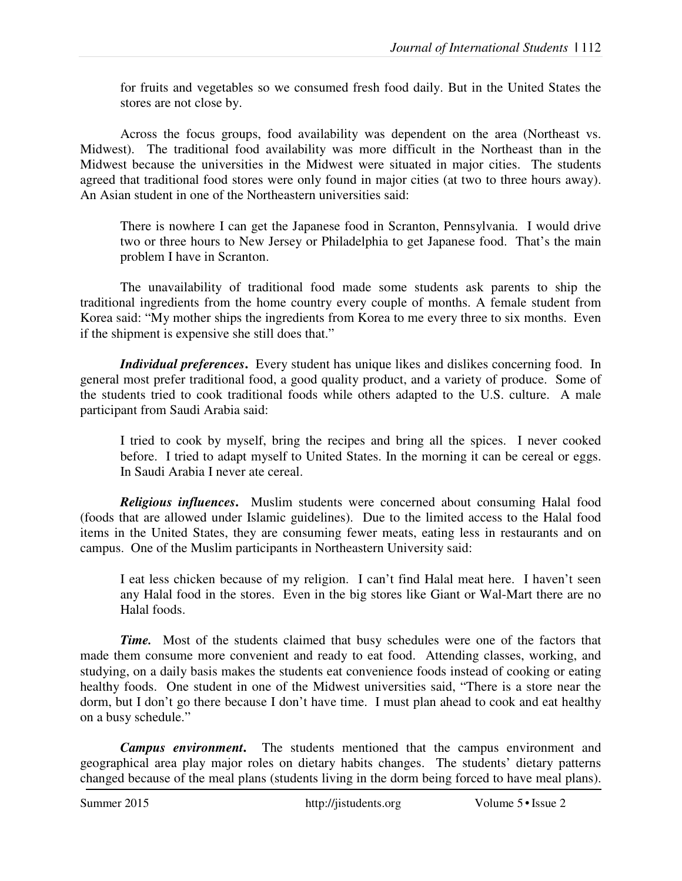for fruits and vegetables so we consumed fresh food daily. But in the United States the stores are not close by.

Across the focus groups, food availability was dependent on the area (Northeast vs. Midwest). The traditional food availability was more difficult in the Northeast than in the Midwest because the universities in the Midwest were situated in major cities. The students agreed that traditional food stores were only found in major cities (at two to three hours away). An Asian student in one of the Northeastern universities said:

There is nowhere I can get the Japanese food in Scranton, Pennsylvania. I would drive two or three hours to New Jersey or Philadelphia to get Japanese food. That's the main problem I have in Scranton.

The unavailability of traditional food made some students ask parents to ship the traditional ingredients from the home country every couple of months. A female student from Korea said: "My mother ships the ingredients from Korea to me every three to six months. Even if the shipment is expensive she still does that."

*Individual preferences***.** Every student has unique likes and dislikes concerning food. In general most prefer traditional food, a good quality product, and a variety of produce. Some of the students tried to cook traditional foods while others adapted to the U.S. culture. A male participant from Saudi Arabia said:

I tried to cook by myself, bring the recipes and bring all the spices. I never cooked before. I tried to adapt myself to United States. In the morning it can be cereal or eggs. In Saudi Arabia I never ate cereal.

*Religious influences***.** Muslim students were concerned about consuming Halal food (foods that are allowed under Islamic guidelines). Due to the limited access to the Halal food items in the United States, they are consuming fewer meats, eating less in restaurants and on campus. One of the Muslim participants in Northeastern University said:

I eat less chicken because of my religion. I can't find Halal meat here. I haven't seen any Halal food in the stores. Even in the big stores like Giant or Wal-Mart there are no Halal foods.

*Time.*Most of the students claimed that busy schedules were one of the factors that made them consume more convenient and ready to eat food. Attending classes, working, and studying, on a daily basis makes the students eat convenience foods instead of cooking or eating healthy foods. One student in one of the Midwest universities said, "There is a store near the dorm, but I don't go there because I don't have time. I must plan ahead to cook and eat healthy on a busy schedule."

*Campus environment***.** The students mentioned that the campus environment and geographical area play major roles on dietary habits changes. The students' dietary patterns changed because of the meal plans (students living in the dorm being forced to have meal plans).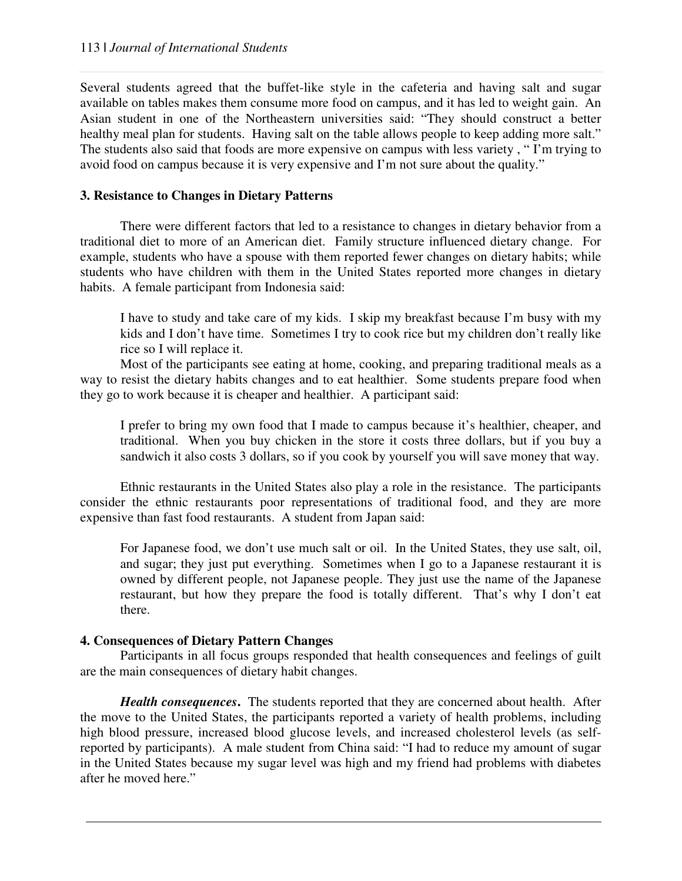Several students agreed that the buffet-like style in the cafeteria and having salt and sugar available on tables makes them consume more food on campus, and it has led to weight gain. An Asian student in one of the Northeastern universities said: "They should construct a better healthy meal plan for students. Having salt on the table allows people to keep adding more salt." The students also said that foods are more expensive on campus with less variety , " I'm trying to avoid food on campus because it is very expensive and I'm not sure about the quality."

## **3. Resistance to Changes in Dietary Patterns**

There were different factors that led to a resistance to changes in dietary behavior from a traditional diet to more of an American diet. Family structure influenced dietary change. For example, students who have a spouse with them reported fewer changes on dietary habits; while students who have children with them in the United States reported more changes in dietary habits. A female participant from Indonesia said:

I have to study and take care of my kids. I skip my breakfast because I'm busy with my kids and I don't have time. Sometimes I try to cook rice but my children don't really like rice so I will replace it.

Most of the participants see eating at home, cooking, and preparing traditional meals as a way to resist the dietary habits changes and to eat healthier. Some students prepare food when they go to work because it is cheaper and healthier. A participant said:

I prefer to bring my own food that I made to campus because it's healthier, cheaper, and traditional. When you buy chicken in the store it costs three dollars, but if you buy a sandwich it also costs 3 dollars, so if you cook by yourself you will save money that way.

Ethnic restaurants in the United States also play a role in the resistance. The participants consider the ethnic restaurants poor representations of traditional food, and they are more expensive than fast food restaurants. A student from Japan said:

For Japanese food, we don't use much salt or oil. In the United States, they use salt, oil, and sugar; they just put everything. Sometimes when I go to a Japanese restaurant it is owned by different people, not Japanese people. They just use the name of the Japanese restaurant, but how they prepare the food is totally different. That's why I don't eat there.

### **4. Consequences of Dietary Pattern Changes**

Participants in all focus groups responded that health consequences and feelings of guilt are the main consequences of dietary habit changes.

*Health consequences***.** The students reported that they are concerned about health. After the move to the United States, the participants reported a variety of health problems, including high blood pressure, increased blood glucose levels, and increased cholesterol levels (as selfreported by participants). A male student from China said: "I had to reduce my amount of sugar in the United States because my sugar level was high and my friend had problems with diabetes after he moved here."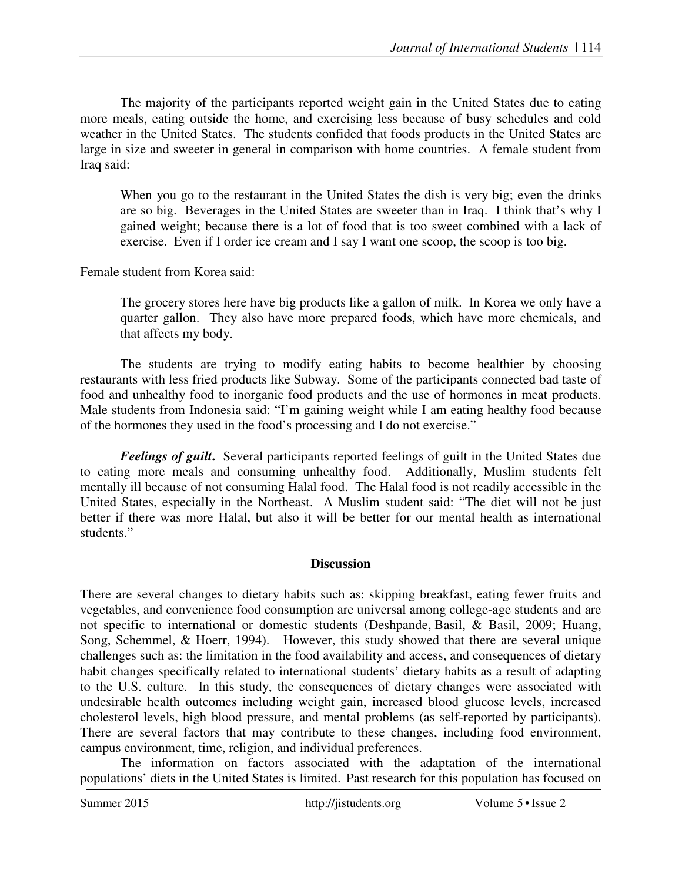The majority of the participants reported weight gain in the United States due to eating more meals, eating outside the home, and exercising less because of busy schedules and cold weather in the United States. The students confided that foods products in the United States are large in size and sweeter in general in comparison with home countries. A female student from Iraq said:

When you go to the restaurant in the United States the dish is very big; even the drinks are so big. Beverages in the United States are sweeter than in Iraq. I think that's why I gained weight; because there is a lot of food that is too sweet combined with a lack of exercise. Even if I order ice cream and I say I want one scoop, the scoop is too big.

Female student from Korea said:

The grocery stores here have big products like a gallon of milk. In Korea we only have a quarter gallon. They also have more prepared foods, which have more chemicals, and that affects my body.

The students are trying to modify eating habits to become healthier by choosing restaurants with less fried products like Subway. Some of the participants connected bad taste of food and unhealthy food to inorganic food products and the use of hormones in meat products. Male students from Indonesia said: "I'm gaining weight while I am eating healthy food because of the hormones they used in the food's processing and I do not exercise."

*Feelings of guilt***.** Several participants reported feelings of guilt in the United States due to eating more meals and consuming unhealthy food. Additionally, Muslim students felt mentally ill because of not consuming Halal food. The Halal food is not readily accessible in the United States, especially in the Northeast. A Muslim student said: "The diet will not be just better if there was more Halal, but also it will be better for our mental health as international students."

### **Discussion**

There are several changes to dietary habits such as: skipping breakfast, eating fewer fruits and vegetables, and convenience food consumption are universal among college-age students and are not specific to international or domestic students (Deshpande, Basil, & Basil, 2009; Huang, Song, Schemmel, & Hoerr, 1994). However, this study showed that there are several unique challenges such as: the limitation in the food availability and access, and consequences of dietary habit changes specifically related to international students' dietary habits as a result of adapting to the U.S. culture. In this study, the consequences of dietary changes were associated with undesirable health outcomes including weight gain, increased blood glucose levels, increased cholesterol levels, high blood pressure, and mental problems (as self-reported by participants). There are several factors that may contribute to these changes, including food environment, campus environment, time, religion, and individual preferences.

The information on factors associated with the adaptation of the international populations' diets in the United States is limited. Past research for this population has focused on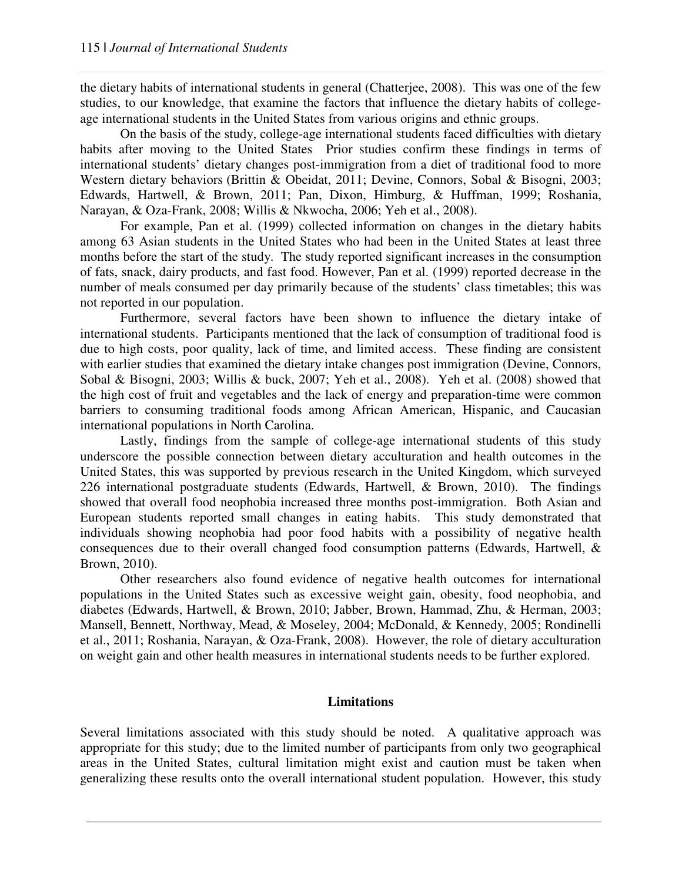the dietary habits of international students in general (Chatterjee, 2008). This was one of the few studies, to our knowledge, that examine the factors that influence the dietary habits of collegeage international students in the United States from various origins and ethnic groups.

On the basis of the study, college-age international students faced difficulties with dietary habits after moving to the United States Prior studies confirm these findings in terms of international students' dietary changes post-immigration from a diet of traditional food to more Western dietary behaviors (Brittin & Obeidat, 2011; Devine, Connors, Sobal & Bisogni, 2003; Edwards, Hartwell, & Brown, 2011; Pan, Dixon, Himburg, & Huffman, 1999; Roshania, Narayan, & Oza-Frank, 2008; Willis & Nkwocha, 2006; Yeh et al., 2008).

For example, Pan et al. (1999) collected information on changes in the dietary habits among 63 Asian students in the United States who had been in the United States at least three months before the start of the study. The study reported significant increases in the consumption of fats, snack, dairy products, and fast food. However, Pan et al. (1999) reported decrease in the number of meals consumed per day primarily because of the students' class timetables; this was not reported in our population.

Furthermore, several factors have been shown to influence the dietary intake of international students. Participants mentioned that the lack of consumption of traditional food is due to high costs, poor quality, lack of time, and limited access. These finding are consistent with earlier studies that examined the dietary intake changes post immigration (Devine, Connors, Sobal & Bisogni, 2003; Willis & buck, 2007; Yeh et al., 2008). Yeh et al. (2008) showed that the high cost of fruit and vegetables and the lack of energy and preparation-time were common barriers to consuming traditional foods among African American, Hispanic, and Caucasian international populations in North Carolina.

Lastly, findings from the sample of college-age international students of this study underscore the possible connection between dietary acculturation and health outcomes in the United States, this was supported by previous research in the United Kingdom, which surveyed 226 international postgraduate students (Edwards, Hartwell, & Brown, 2010). The findings showed that overall food neophobia increased three months post-immigration. Both Asian and European students reported small changes in eating habits. This study demonstrated that individuals showing neophobia had poor food habits with a possibility of negative health consequences due to their overall changed food consumption patterns (Edwards, Hartwell, & Brown, 2010).

Other researchers also found evidence of negative health outcomes for international populations in the United States such as excessive weight gain, obesity, food neophobia, and diabetes (Edwards, Hartwell, & Brown, 2010; Jabber, Brown, Hammad, Zhu, & Herman, 2003; Mansell, Bennett, Northway, Mead, & Moseley, 2004; McDonald, & Kennedy, 2005; Rondinelli et al., 2011; Roshania, Narayan, & Oza-Frank, 2008). However, the role of dietary acculturation on weight gain and other health measures in international students needs to be further explored.

#### **Limitations**

Several limitations associated with this study should be noted. A qualitative approach was appropriate for this study; due to the limited number of participants from only two geographical areas in the United States, cultural limitation might exist and caution must be taken when generalizing these results onto the overall international student population. However, this study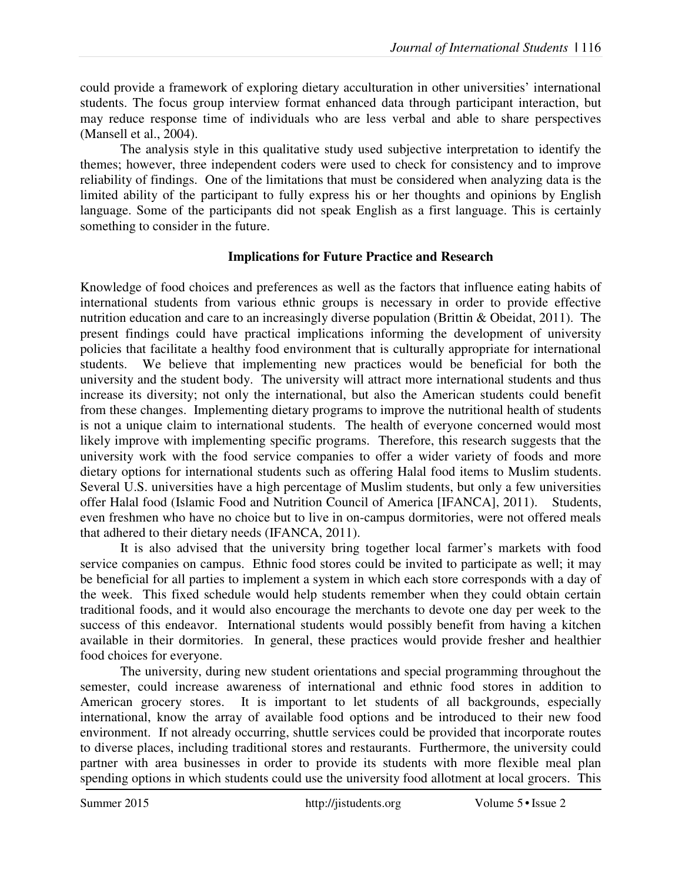could provide a framework of exploring dietary acculturation in other universities' international students. The focus group interview format enhanced data through participant interaction, but may reduce response time of individuals who are less verbal and able to share perspectives (Mansell et al., 2004).

The analysis style in this qualitative study used subjective interpretation to identify the themes; however, three independent coders were used to check for consistency and to improve reliability of findings. One of the limitations that must be considered when analyzing data is the limited ability of the participant to fully express his or her thoughts and opinions by English language. Some of the participants did not speak English as a first language. This is certainly something to consider in the future.

## **Implications for Future Practice and Research**

Knowledge of food choices and preferences as well as the factors that influence eating habits of international students from various ethnic groups is necessary in order to provide effective nutrition education and care to an increasingly diverse population (Brittin & Obeidat, 2011). The present findings could have practical implications informing the development of university policies that facilitate a healthy food environment that is culturally appropriate for international students. We believe that implementing new practices would be beneficial for both the university and the student body. The university will attract more international students and thus increase its diversity; not only the international, but also the American students could benefit from these changes. Implementing dietary programs to improve the nutritional health of students is not a unique claim to international students. The health of everyone concerned would most likely improve with implementing specific programs. Therefore, this research suggests that the university work with the food service companies to offer a wider variety of foods and more dietary options for international students such as offering Halal food items to Muslim students. Several U.S. universities have a high percentage of Muslim students, but only a few universities offer Halal food (Islamic Food and Nutrition Council of America [IFANCA], 2011). Students, even freshmen who have no choice but to live in on-campus dormitories, were not offered meals that adhered to their dietary needs (IFANCA, 2011).

It is also advised that the university bring together local farmer's markets with food service companies on campus. Ethnic food stores could be invited to participate as well; it may be beneficial for all parties to implement a system in which each store corresponds with a day of the week. This fixed schedule would help students remember when they could obtain certain traditional foods, and it would also encourage the merchants to devote one day per week to the success of this endeavor. International students would possibly benefit from having a kitchen available in their dormitories. In general, these practices would provide fresher and healthier food choices for everyone.

The university, during new student orientations and special programming throughout the semester, could increase awareness of international and ethnic food stores in addition to American grocery stores. It is important to let students of all backgrounds, especially international, know the array of available food options and be introduced to their new food environment. If not already occurring, shuttle services could be provided that incorporate routes to diverse places, including traditional stores and restaurants. Furthermore, the university could partner with area businesses in order to provide its students with more flexible meal plan spending options in which students could use the university food allotment at local grocers. This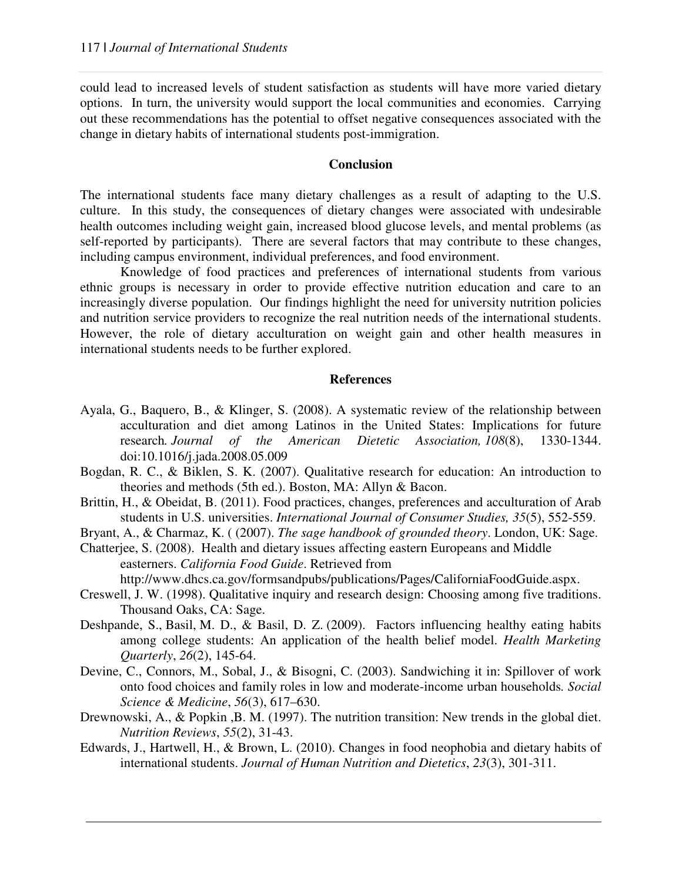could lead to increased levels of student satisfaction as students will have more varied dietary options. In turn, the university would support the local communities and economies. Carrying out these recommendations has the potential to offset negative consequences associated with the change in dietary habits of international students post-immigration.

## **Conclusion**

The international students face many dietary challenges as a result of adapting to the U.S. culture. In this study, the consequences of dietary changes were associated with undesirable health outcomes including weight gain, increased blood glucose levels, and mental problems (as self-reported by participants). There are several factors that may contribute to these changes, including campus environment, individual preferences, and food environment.

Knowledge of food practices and preferences of international students from various ethnic groups is necessary in order to provide effective nutrition education and care to an increasingly diverse population. Our findings highlight the need for university nutrition policies and nutrition service providers to recognize the real nutrition needs of the international students. However, the role of dietary acculturation on weight gain and other health measures in international students needs to be further explored.

#### **References**

- Ayala, G., Baquero, B., & Klinger, S. (2008). A systematic review of the relationship between acculturation and diet among Latinos in the United States: Implications for future research*. Journal of the American Dietetic Association, 108*(8), 1330-1344. doi:10.1016/j.jada.2008.05.009
- Bogdan, R. C., & Biklen, S. K. (2007). Qualitative research for education: An introduction to theories and methods (5th ed.). Boston, MA: Allyn & Bacon.
- Brittin, H., & Obeidat, B. (2011). Food practices, changes, preferences and acculturation of Arab students in U.S. universities. *International Journal of Consumer Studies, 35*(5), 552-559.
- Bryant, A., & Charmaz, K. ( (2007). *The sage handbook of grounded theory*. London, UK: Sage.
- Chatterjee, S. (2008). Health and dietary issues affecting eastern Europeans and Middle easterners. *California Food Guide*. Retrieved from http://www.dhcs.ca.gov/formsandpubs/publications/Pages/CaliforniaFoodGuide.aspx.
- Creswell, J. W. (1998). Qualitative inquiry and research design: Choosing among five traditions. Thousand Oaks, CA: Sage.
- Deshpande, S., Basil, M. D., & Basil, D. Z. (2009). Factors influencing healthy eating habits among college students: An application of the health belief model. *Health Marketing Quarterly*, *26*(2), 145-64.
- Devine, C., Connors, M., Sobal, J., & Bisogni, C. (2003). Sandwiching it in: Spillover of work onto food choices and family roles in low and moderate-income urban households*. Social Science & Medicine*, *56*(3), 617–630.
- Drewnowski, A., & Popkin ,B. M. (1997). The nutrition transition: New trends in the global diet. *Nutrition Reviews*, *55*(2), 31-43.
- Edwards, J., Hartwell, H., & Brown, L. (2010). Changes in food neophobia and dietary habits of international students. *Journal of Human Nutrition and Dietetics*, *23*(3), 301-311.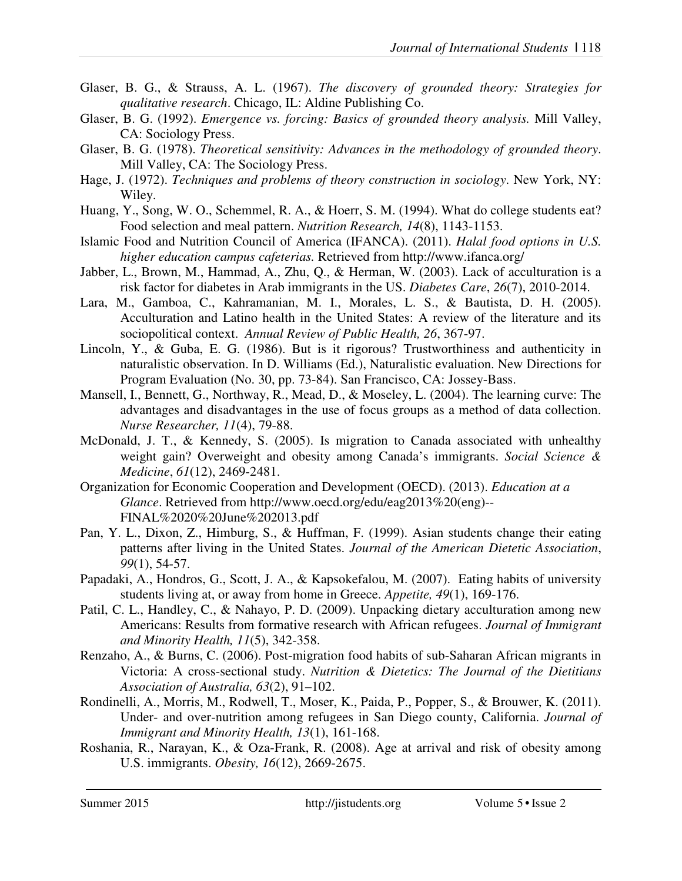- Glaser, B. G., & Strauss, A. L. (1967). *The discovery of grounded theory: Strategies for qualitative research*. Chicago, IL: Aldine Publishing Co.
- Glaser, B. G. (1992). *Emergence vs. forcing: Basics of grounded theory analysis.* Mill Valley, CA: Sociology Press.
- Glaser, B. G. (1978). *Theoretical sensitivity: Advances in the methodology of grounded theory*. Mill Valley, CA: The Sociology Press.
- Hage, J. (1972). *Techniques and problems of theory construction in sociology*. New York, NY: Wiley.
- Huang, Y., Song, W. O., Schemmel, R. A., & Hoerr, S. M. (1994). What do college students eat? Food selection and meal pattern. *Nutrition Research, 14*(8), 1143-1153.
- Islamic Food and Nutrition Council of America (IFANCA). (2011). *Halal food options in U.S. higher education campus cafeterias.* Retrieved from http://www.ifanca.org/
- Jabber, L., Brown, M., Hammad, A., Zhu, Q., & Herman, W. (2003). Lack of acculturation is a risk factor for diabetes in Arab immigrants in the US. *Diabetes Care*, *26*(7), 2010-2014.
- Lara, M., Gamboa, C., Kahramanian, M. I., Morales, L. S., & Bautista, D. H. (2005). Acculturation and Latino health in the United States: A review of the literature and its sociopolitical context. *Annual Review of Public Health, 26*, 367-97.
- Lincoln, Y., & Guba, E. G. (1986). But is it rigorous? Trustworthiness and authenticity in naturalistic observation. In D. Williams (Ed.), Naturalistic evaluation. New Directions for Program Evaluation (No. 30, pp. 73-84). San Francisco, CA: Jossey-Bass.
- Mansell, I., Bennett, G., Northway, R., Mead, D., & Moseley, L. (2004). The learning curve: The advantages and disadvantages in the use of focus groups as a method of data collection. *Nurse Researcher, 11*(4), 79-88.
- McDonald, J. T., & Kennedy, S. (2005). Is migration to Canada associated with unhealthy weight gain? Overweight and obesity among Canada's immigrants. *Social Science & Medicine*, *61*(12), 2469-2481.
- Organization for Economic Cooperation and Development (OECD). (2013). *Education at a Glance*. Retrieved from http://www.oecd.org/edu/eag2013%20(eng)-- FINAL%2020%20June%202013.pdf
- Pan, Y. L., Dixon, Z., Himburg, S., & Huffman, F. (1999). Asian students change their eating patterns after living in the United States. *Journal of the American Dietetic Association*, *99*(1), 54-57.
- Papadaki, A., Hondros, G., Scott, J. A., & Kapsokefalou, M. (2007). Eating habits of university students living at, or away from home in Greece. *Appetite, 49*(1), 169-176.
- Patil, C. L., Handley, C., & Nahayo, P. D. (2009). Unpacking dietary acculturation among new Americans: Results from formative research with African refugees. *Journal of Immigrant and Minority Health, 11*(5), 342-358.
- Renzaho, A., & Burns, C. (2006). Post-migration food habits of sub-Saharan African migrants in Victoria: A cross-sectional study. *Nutrition & Dietetics: The Journal of the Dietitians Association of Australia, 63*(2), 91–102.
- Rondinelli, A., Morris, M., Rodwell, T., Moser, K., Paida, P., Popper, S., & Brouwer, K. (2011). Under- and over-nutrition among refugees in San Diego county, California. *Journal of Immigrant and Minority Health, 13*(1), 161-168.
- Roshania, R., Narayan, K., & Oza-Frank, R. (2008). Age at arrival and risk of obesity among U.S. immigrants. *Obesity, 16*(12), 2669-2675.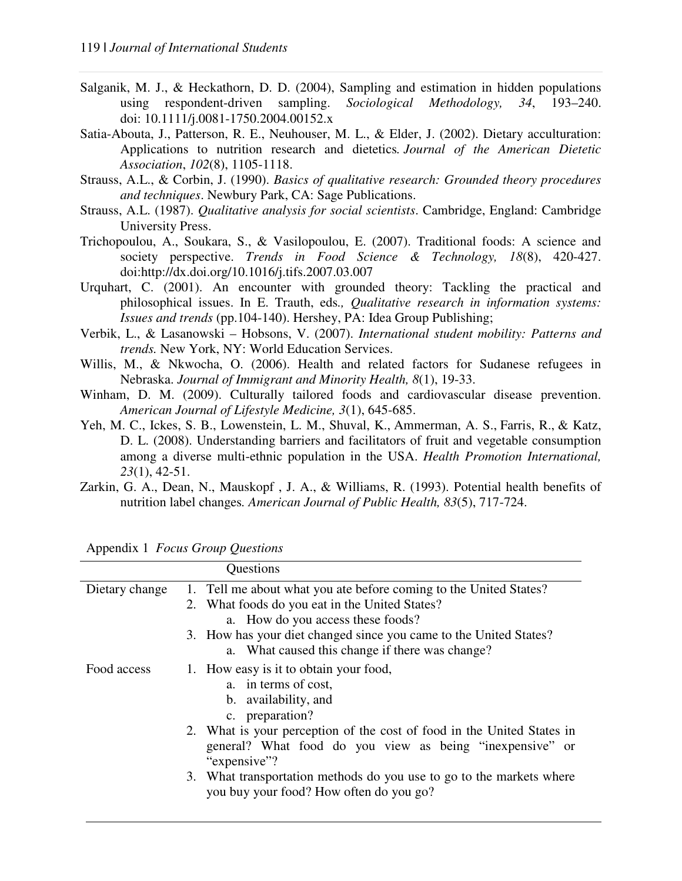- Salganik, M. J., & Heckathorn, D. D. (2004), Sampling and estimation in hidden populations using respondent-driven sampling. *Sociological Methodology, 34*, 193–240. doi: 10.1111/j.0081-1750.2004.00152.x
- Satia-Abouta, J., Patterson, R. E., Neuhouser, M. L., & Elder, J. (2002). Dietary acculturation: Applications to nutrition research and dietetics*. Journal of the American Dietetic Association*, *102*(8), 1105-1118.
- Strauss, A.L., & Corbin, J. (1990). *Basics of qualitative research: Grounded theory procedures and techniques*. Newbury Park, CA: Sage Publications.
- Strauss, A.L. (1987). *Qualitative analysis for social scientists*. Cambridge, England: Cambridge University Press.
- Trichopoulou, A., Soukara, S., & Vasilopoulou, E. (2007). Traditional foods: A science and society perspective. *Trends in Food Science & Technology, 18*(8), 420-427. doi:http://dx.doi.org/10.1016/j.tifs.2007.03.007
- Urquhart, C. (2001). An encounter with grounded theory: Tackling the practical and philosophical issues. In E. Trauth, eds*., Qualitative research in information systems: Issues and trends* (pp.104-140). Hershey, PA: Idea Group Publishing;
- Verbik, L., & Lasanowski Hobsons, V. (2007). *International student mobility: Patterns and trends.* New York, NY: World Education Services.
- Willis, M., & Nkwocha, O. (2006). Health and related factors for Sudanese refugees in Nebraska. *Journal of Immigrant and Minority Health, 8*(1), 19-33.
- Winham, D. M. (2009). Culturally tailored foods and cardiovascular disease prevention. *American Journal of Lifestyle Medicine, 3*(1), 645-685.
- Yeh, M. C., Ickes, S. B., Lowenstein, L. M., Shuval, K., Ammerman, A. S., Farris, R., & Katz, D. L. (2008). Understanding barriers and facilitators of fruit and vegetable consumption among a diverse multi-ethnic population in the USA. *Health Promotion International, 23*(1), 42-51.
- Zarkin, G. A., Dean, N., Mauskopf , J. A., & Williams, R. (1993). Potential health benefits of nutrition label changes*. American Journal of Public Health, 83*(5), 717-724.

| Questions      |                                                                        |  |
|----------------|------------------------------------------------------------------------|--|
| Dietary change | 1. Tell me about what you ate before coming to the United States?      |  |
|                | 2. What foods do you eat in the United States?                         |  |
|                | a. How do you access these foods?                                      |  |
|                | 3. How has your diet changed since you came to the United States?      |  |
|                | a. What caused this change if there was change?                        |  |
| Food access    | 1. How easy is it to obtain your food,                                 |  |
|                | a. in terms of cost,                                                   |  |
|                | b. availability, and                                                   |  |
|                | c. preparation?                                                        |  |
|                | 2. What is your perception of the cost of food in the United States in |  |
|                | general? What food do you view as being "inexpensive" or               |  |
|                | "expensive"?                                                           |  |
|                | 3. What transportation methods do you use to go to the markets where   |  |
|                | you buy your food? How often do you go?                                |  |
|                |                                                                        |  |

Appendix 1 *Focus Group Questions*